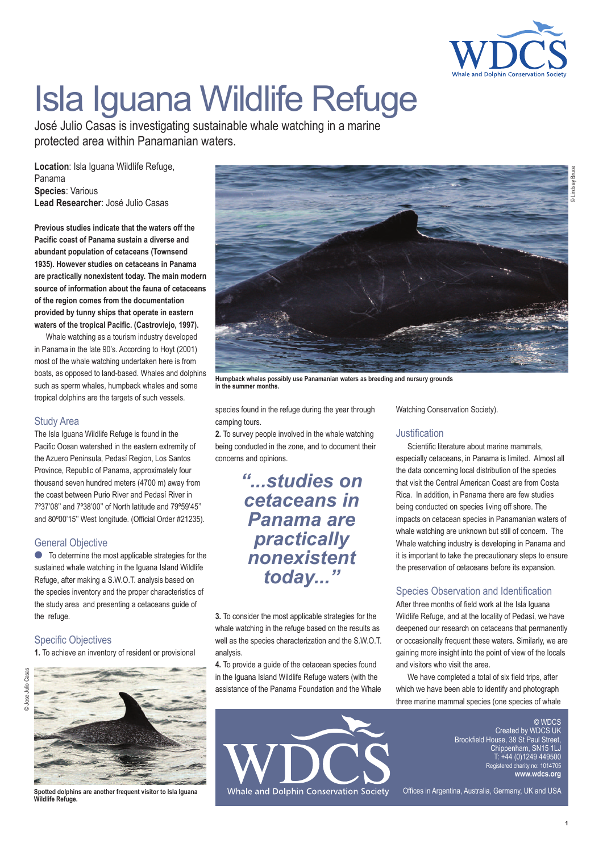

# Isla Iguana Wildlife Refuge

José Julio Casas is investigating sustainable whale watching in a marine protected area within Panamanian waters.

**Location**: Isla Iguana Wildlife Refuge, Panama **Species**: Various **Lead Researcher**: José Julio Casas

**Previous studies indicate that the waters off the Pacific coast of Panama sustain a diverse and abundant population of cetaceans (Townsend 1935). However studies on cetaceans in Panama are practically nonexistent today. The main modern source of information about the fauna of cetaceans of the region comes from the documentation provided by tunny ships that operate in eastern waters of the tropical Pacific. (Castroviejo, 1997).**

Whale watching as a tourism industry developed in Panama in the late 90's. According to Hoyt (2001) most of the whale watching undertaken here is from boats, as opposed to land-based. Whales and dolphins such as sperm whales, humpback whales and some tropical dolphins are the targets of such vessels.

#### Study Area

The Isla Iguana Wildlife Refuge is found in the Pacific Ocean watershed in the eastern extremity of the Azuero Peninsula, Pedasí Region, Los Santos Province, Republic of Panama, approximately four thousand seven hundred meters (4700 m) away from the coast between Purio River and Pedasí River in 7º37'08'' and 7º38'00'' of North latitude and 79º59'45'' and 80º00'15'' West longitude. (Official Order #21235).

# General Objective

● To determine the most applicable strategies for the sustained whale watching in the Iguana Island Wildlife Refuge, after making a S.W.O.T. analysis based on the species inventory and the proper characteristics of the study area and presenting a cetaceans guide of the refuge.

# Specific Objectives

**1.** To achieve an inventory of resident or provisional



**Spotted dolphins are another frequent visitor to Isla Iguana Wildlife Refuge.**



**Humpback whales possibly use Panamanian waters as breeding and nursury grounds in the summer months.**

species found in the refuge during the year through camping tours.

**2.** To survey people involved in the whale watching being conducted in the zone, and to document their concerns and opinions.

# *"...studies on cetaceans in Panama are practically nonexistent today..."*

**3.** To consider the most applicable strategies for the whale watching in the refuge based on the results as well as the species characterization and the S.W.O.T. analysis.

**4.** To provide a guide of the cetacean species found in the Iguana Island Wildlife Refuge waters (with the assistance of the Panama Foundation and the Whale



Watching Conservation Society).

# **Justification**

Scientific literature about marine mammals, especially cetaceans, in Panama is limited. Almost all the data concerning local distribution of the species that visit the Central American Coast are from Costa Rica. In addition, in Panama there are few studies being conducted on species living off shore. The impacts on cetacean species in Panamanian waters of whale watching are unknown but still of concern. The Whale watching industry is developing in Panama and it is important to take the precautionary steps to ensure the preservation of cetaceans before its expansion.

# Species Observation and Identification

After three months of field work at the Isla Iguana Wildlife Refuge, and at the locality of Pedasí, we have deepened our research on cetaceans that permanently or occasionally frequent these waters. Similarly, we are gaining more insight into the point of view of the locals and visitors who visit the area.

We have completed a total of six field trips, after which we have been able to identify and photograph three marine mammal species (one species of whale

> © WDCS Created by WDC Brookfield House, 38 St.P. Chippenham, SN15 1LJ  $(0)1240$ Registered charity no: 1014705 **www.wdcs.org**

Offices in Argentina, Australia, Germany, UK and USA